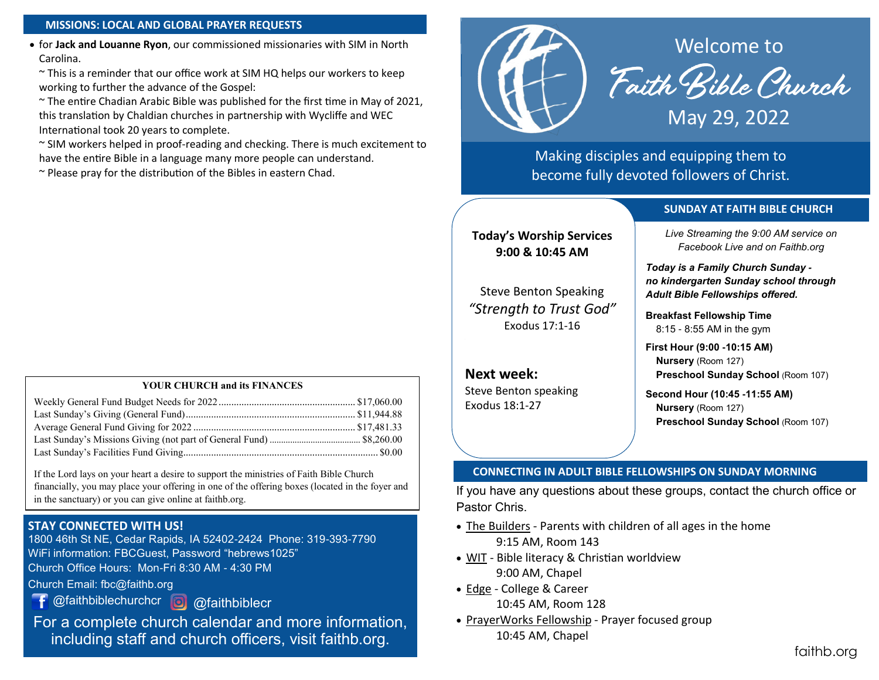#### **MISSIONS: LOCAL AND GLOBAL PRAYER REQUESTS**

• for **Jack and Louanne Ryon**, our commissioned missionaries with SIM in North Carolina.

~ This is a reminder that our office work at SIM HQ helps our workers to keep working to further the advance of the Gospel:

~ The entire Chadian Arabic Bible was published for the first time in May of 2021, this translation by Chaldian churches in partnership with Wycliffe and WEC International took 20 years to complete.

~ SIM workers helped in proof-reading and checking. There is much excitement to have the entire Bible in a language many more people can understand.

 $\sim$  Please pray for the distribution of the Bibles in eastern Chad.

#### **YOUR CHURCH and its FINANCES**

If the Lord lays on your heart a desire to support the ministries of Faith Bible Church financially, you may place your offering in one of the offering boxes (located in the foyer and in the sanctuary) or you can give online at faithb.org.

#### **STAY CONNECTED WITH US!**

1800 46th St NE, Cedar Rapids, IA 52402-2424 Phone: 319-393-7790 WiFi information: FBCGuest, Password "hebrews1025" Church Office Hours: Mon-Fri 8:30 AM - 4:30 PM

- Church Email: fbc@faithb.org
	- @faithbiblechurchcr **@** @faithbiblecr

For a complete church calendar and more information, including staff and church officers, visit faithb.org.



Making disciples and equipping them to become fully devoted followers of Christ.

#### **SUNDAY AT FAITH BIBLE CHURCH**

**Today's Worship Services 9:00 & 10:45 AM**

Steve Benton Speaking *"Strength to Trust God"* Exodus 17:1-16

**Next week:** Steve Benton speaking Exodus 18:1-27

*Live Streaming the 9:00 AM service on Facebook Live and on Faithb.org*

*Today is a Family Church Sunday no kindergarten Sunday school through Adult Bible Fellowships offered.*

**Breakfast Fellowship Time** 8:15 - 8:55 AM in the gym

**First Hour (9:00 -10:15 AM) Nursery** (Room 127) **Preschool Sunday School** (Room 107)

**Second Hour (10:45 -11:55 AM) Nursery** (Room 127) **Preschool Sunday School** (Room 107)

#### **CONNECTING IN ADULT BIBLE FELLOWSHIPS ON SUNDAY MORNING**

If you have any questions about these groups, contact the church office or Pastor Chris.

- The Builders Parents with children of all ages in the home 9:15 AM, Room 143
- WIT Bible literacy & Christian worldview 9:00 AM, Chapel
- Edge College & Career 10:45 AM, Room 128
- PrayerWorks Fellowship Prayer focused group 10:45 AM, Chapel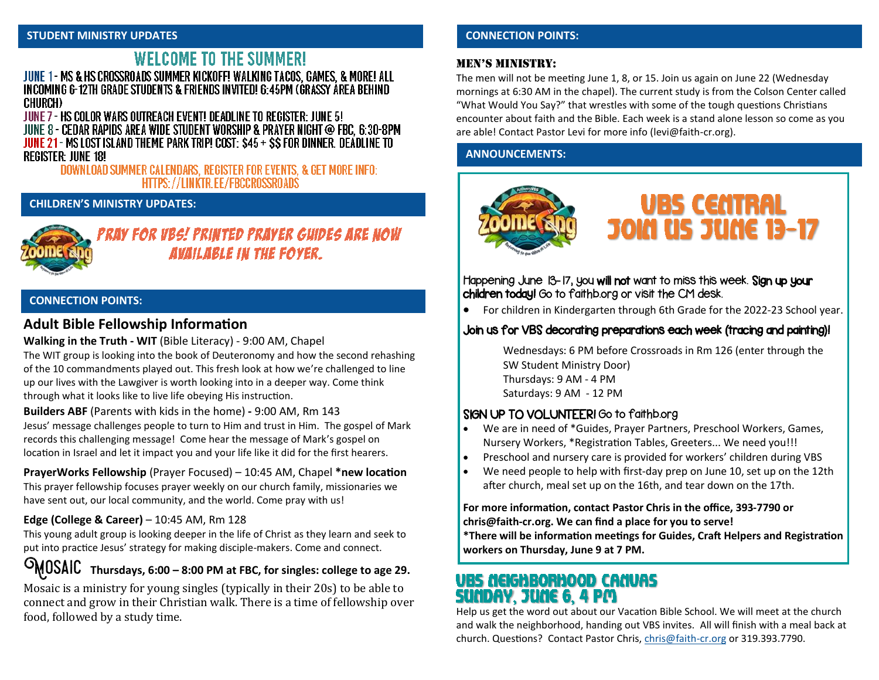# **WELCOME TO THE SUMMER!**

JUNE 1 - MS & HS CROSSROADS SUMMER KICKOFF! WALKING TACOS, GAMES, & MORE! ALL INCOMING 6-12TH GRADE STUDENTS & FRIENDS INVITED! 6:45PM (GRASSY AREA BEHIND) **CHURCH)** 

JUNE 7 - HS COLOR WARS OUTREACH EVENT! DEADLINE TO REGISTER: JUNE 5! JUNE 8 - CEDAR RAPIDS AREA WIDE STUDENT WORSHIP & PRAYER NIGHT @ FBC, 6:30-8PM JUNE 21 - MS LOST ISLAND THEME PARK TRIP! COST: \$45 + \$\$ FOR DINNER. DEADLINE TO **REGISTER: JUNE 18!** 

DOWNLOAD SUMMER CALENDARS, REGISTER FOR EVENTS, & GET MORE INFO: HTTPS://LINKTR.EE/FBCCROSSROADS

## **CHILDREN'S MINISTRY UPDATES:**



**AVAILABLE IN THE FOYER.** 

#### **CONNECTION POINTS:**

## **Adult Bible Fellowship Information**

#### **Walking in the Truth - WIT** (Bible Literacy) - 9:00 AM, Chapel

The WIT group is looking into the book of Deuteronomy and how the second rehashing of the 10 commandments played out. This fresh look at how we're challenged to line up our lives with the Lawgiver is worth looking into in a deeper way. Come think through what it looks like to live life obeying His instruction.

**Builders ABF** (Parents with kids in the home) **-** 9:00 AM, Rm 143 Jesus' message challenges people to turn to Him and trust in Him. The gospel of Mark records this challenging message! Come hear the message of Mark's gospel on location in Israel and let it impact you and your life like it did for the first hearers.

**PrayerWorks Fellowship** (Prayer Focused) – 10:45 AM, Chapel **\*new location** This prayer fellowship focuses prayer weekly on our church family, missionaries we have sent out, our local community, and the world. Come pray with us!

#### **Edge (College & Career)** – 10:45 AM, Rm 128

This young adult group is looking deeper in the life of Christ as they learn and seek to put into practice Jesus' strategy for making disciple-makers. Come and connect.

Mosaic **Thursdays, 6:00 – 8:00 PM at FBC, for singles: college to age 29.**

Mosaic is a ministry for young singles (typically in their 20s) to be able to connect and grow in their Christian walk. There is a time of fellowship over food, followed by a study time.

#### **CONNECTION POINTS:**

#### Men's Ministry:

The men will not be meeting June 1, 8, or 15. Join us again on June 22 (Wednesday mornings at 6:30 AM in the chapel). The current study is from the Colson Center called "What Would You Say?" that wrestles with some of the tough questions Christians encounter about faith and the Bible. Each week is a stand alone lesson so come as you are able! Contact Pastor Levi for more info ([levi@faith](mailto:levi@faith-cr.org)-cr.org).

#### **ANNOUNCEMENTS:**



Happening June 13-17, you will not want to miss this week. Sign up your children today! Go to faithb.org or visit the CM desk.

• For children in Kindergarten through 6th Grade for the 2022-23 School year.

## Join us for VBS decorating preparations each week (tracing and painting)!

Wednesdays: 6 PM before Crossroads in Rm 126 (enter through the SW Student Ministry Door) Thursdays: 9 AM - 4 PM Saturdays: 9 AM - 12 PM

### SIGN UP TO VOLUNTEER! Go to faithb.org

- We are in need of \*Guides, Prayer Partners, Preschool Workers, Games, Nursery Workers, \*Registration Tables, Greeters... We need you!!!
- Preschool and nursery care is provided for workers' children during VBS
- We need people to help with first-day prep on June 10, set up on the 12th after church, meal set up on the 16th, and tear down on the 17th.

#### **For more information, contact Pastor Chris in the office, 393-7790 or chris@faith-cr.org. We can find a place for you to serve!**

**\*There will be information meetings for Guides, Craft Helpers and Registration workers on Thursday, June 9 at 7 PM.**

## <u>VBS NEIGHBORHOOD CANVAS</u> SUADAY, JUAE 6, 4 PM

Help us get the word out about our Vacation Bible School. We will meet at the church and walk the neighborhood, handing out VBS invites. All will finish with a meal back at church. Questions? Contact Pastor Chris, [chris@faith](mailto:chris@faith-cr.org)-cr.org or 319.393.7790.